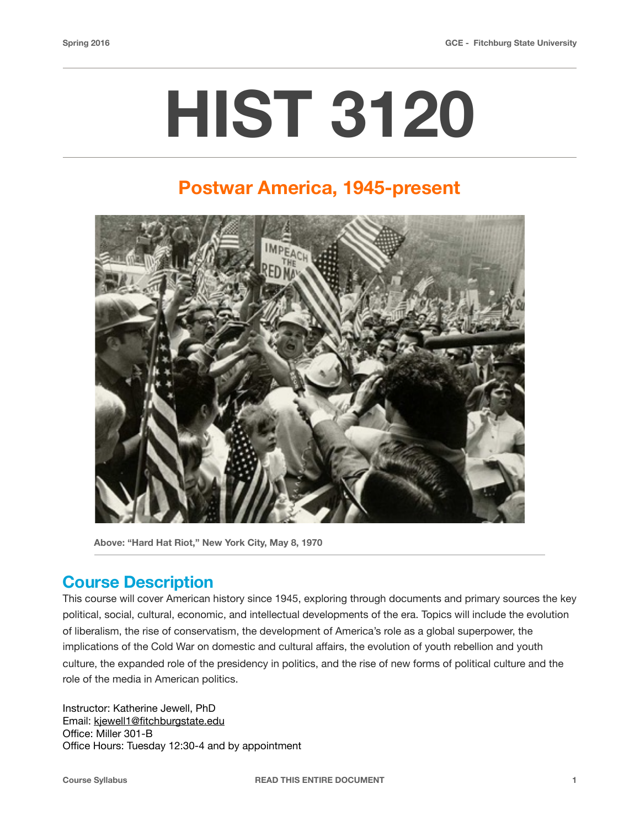# **HIST 3120**

# **Postwar America, 1945-present**



**Above: "Hard Hat Riot," New York City, May 8, 1970**

## **Course Description**

This course will cover American history since 1945, exploring through documents and primary sources the key political, social, cultural, economic, and intellectual developments of the era. Topics will include the evolution of liberalism, the rise of conservatism, the development of America's role as a global superpower, the implications of the Cold War on domestic and cultural affairs, the evolution of youth rebellion and youth culture, the expanded role of the presidency in politics, and the rise of new forms of political culture and the role of the media in American politics.

Instructor: Katherine Jewell, PhD Email: [kjewell1@fitchburgstate.edu](mailto:kjewell1@fitchburgstate.edu) Office: Miller 301-B Office Hours: Tuesday 12:30-4 and by appointment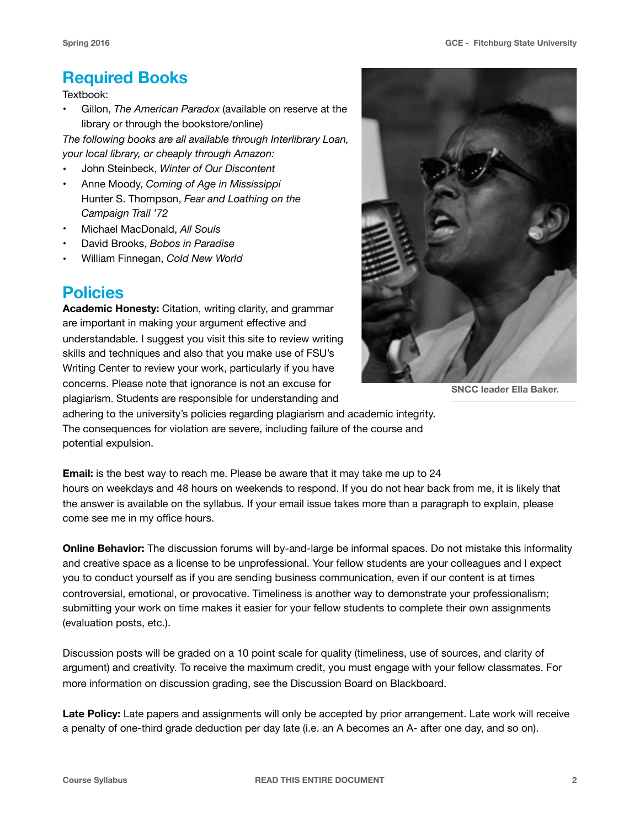# **Required Books**

Textbook:

• Gillon, *The American Paradox* (available on reserve at the library or through the bookstore/online)

*The following books are all available through Interlibrary Loan, your local library, or cheaply through Amazon:*

- John Steinbeck, *Winter of Our Discontent*
- Anne Moody, *Coming of Age in Mississippi* Hunter S. Thompson, *Fear and Loathing on the Campaign Trail '72*
- Michael MacDonald, *All Souls*
- David Brooks, *Bobos in Paradise*
- William Finnegan, *Cold New World*

# **Policies**

**Academic Honesty:** Citation, writing clarity, and grammar are important in making your argument effective and understandable. I suggest you visit this site to review writing skills and techniques and also that you make use of FSU's Writing Center to review your work, particularly if you have concerns. Please note that ignorance is not an excuse for plagiarism. Students are responsible for understanding and



**SNCC leader Ella Baker.**

adhering to the university's policies regarding plagiarism and academic integrity. The consequences for violation are severe, including failure of the course and potential expulsion.

**Email:** is the best way to reach me. Please be aware that it may take me up to 24 hours on weekdays and 48 hours on weekends to respond. If you do not hear back from me, it is likely that the answer is available on the syllabus. If your email issue takes more than a paragraph to explain, please come see me in my office hours.

**Online Behavior:** The discussion forums will by-and-large be informal spaces. Do not mistake this informality and creative space as a license to be unprofessional. Your fellow students are your colleagues and I expect you to conduct yourself as if you are sending business communication, even if our content is at times controversial, emotional, or provocative. Timeliness is another way to demonstrate your professionalism; submitting your work on time makes it easier for your fellow students to complete their own assignments (evaluation posts, etc.).

Discussion posts will be graded on a 10 point scale for quality (timeliness, use of sources, and clarity of argument) and creativity. To receive the maximum credit, you must engage with your fellow classmates. For more information on discussion grading, see the Discussion Board on Blackboard.

**Late Policy:** Late papers and assignments will only be accepted by prior arrangement. Late work will receive a penalty of one-third grade deduction per day late (i.e. an A becomes an A- after one day, and so on).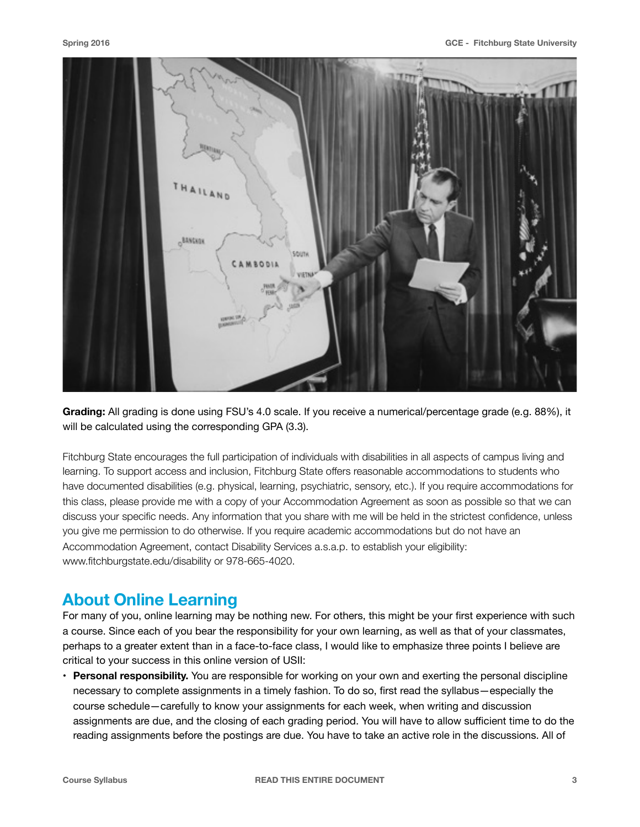

**Grading:** All grading is done using FSU's 4.0 scale. If you receive a numerical/percentage grade (e.g. 88%), it will be calculated using the corresponding GPA (3.3).

Fitchburg State encourages the full participation of individuals with disabilities in all aspects of campus living and learning. To support access and inclusion, Fitchburg State offers reasonable accommodations to students who have documented disabilities (e.g. physical, learning, psychiatric, sensory, etc.). If you require accommodations for this class, please provide me with a copy of your Accommodation Agreement as soon as possible so that we can discuss your specific needs. Any information that you share with me will be held in the strictest confidence, unless you give me permission to do otherwise. If you require academic accommodations but do not have an Accommodation Agreement, contact Disability Services a.s.a.p. to establish your eligibility: www.fitchburgstate.edu/disability or 978-665-4020.

## **About Online Learning**

For many of you, online learning may be nothing new. For others, this might be your first experience with such a course. Since each of you bear the responsibility for your own learning, as well as that of your classmates, perhaps to a greater extent than in a face-to-face class, I would like to emphasize three points I believe are critical to your success in this online version of USII:

• **Personal responsibility.** You are responsible for working on your own and exerting the personal discipline necessary to complete assignments in a timely fashion. To do so, first read the syllabus—especially the course schedule—carefully to know your assignments for each week, when writing and discussion assignments are due, and the closing of each grading period. You will have to allow sufficient time to do the reading assignments before the postings are due. You have to take an active role in the discussions. All of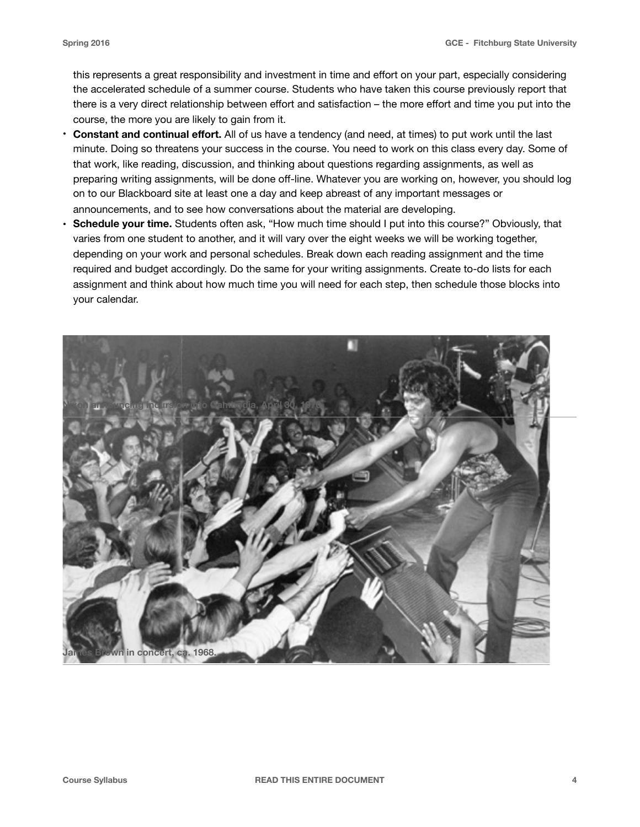this represents a great responsibility and investment in time and effort on your part, especially considering the accelerated schedule of a summer course. Students who have taken this course previously report that there is a very direct relationship between effort and satisfaction – the more effort and time you put into the course, the more you are likely to gain from it.

- **Constant and continual effort.** All of us have a tendency (and need, at times) to put work until the last minute. Doing so threatens your success in the course. You need to work on this class every day. Some of that work, like reading, discussion, and thinking about questions regarding assignments, as well as preparing writing assignments, will be done off-line. Whatever you are working on, however, you should log on to our Blackboard site at least one a day and keep abreast of any important messages or announcements, and to see how conversations about the material are developing.
- **Schedule your time.** Students often ask, "How much time should I put into this course?" Obviously, that varies from one student to another, and it will vary over the eight weeks we will be working together, depending on your work and personal schedules. Break down each reading assignment and the time required and budget accordingly. Do the same for your writing assignments. Create to-do lists for each assignment and think about how much time you will need for each step, then schedule those blocks into your calendar.

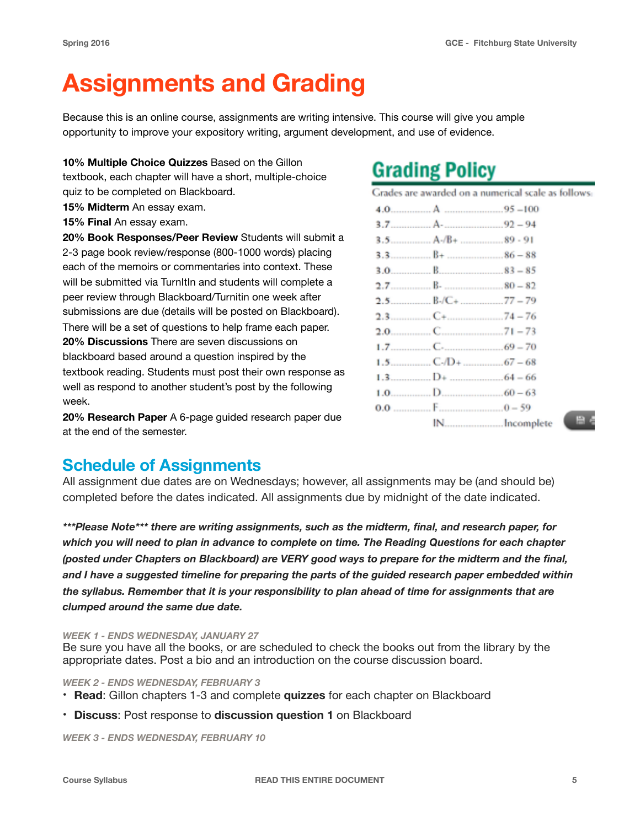# **Assignments and Grading**

Because this is an online course, assignments are writing intensive. This course will give you ample opportunity to improve your expository writing, argument development, and use of evidence.

**10% Multiple Choice Quizzes** Based on the Gillon textbook, each chapter will have a short, multiple-choice quiz to be completed on Blackboard.

**15% Midterm** An essay exam.

**15% Final** An essay exam.

**20% Book Responses/Peer Review** Students will submit a 2-3 page book review/response (800-1000 words) placing each of the memoirs or commentaries into context. These will be submitted via TurnItIn and students will complete a peer review through Blackboard/Turnitin one week after submissions are due (details will be posted on Blackboard). There will be a set of questions to help frame each paper. **20% Discussions** There are seven discussions on blackboard based around a question inspired by the textbook reading. Students must post their own response as well as respond to another student's post by the following week.

**20% Research Paper** A 6-page guided research paper due at the end of the semester.

# **Schedule of Assignments**

All assignment due dates are on Wednesdays; however, all assignments may be (and should be) completed before the dates indicated. All assignments due by midnight of the date indicated.

*\*\*\*Please Note\*\*\* there are writing assignments, such as the midterm, final, and research paper, for which you will need to plan in advance to complete on time. The Reading Questions for each chapter (posted under Chapters on Blackboard) are VERY good ways to prepare for the midterm and the final, and I have a suggested timeline for preparing the parts of the guided research paper embedded within the syllabus. Remember that it is your responsibility to plan ahead of time for assignments that are clumped around the same due date.* 

*WEEK 1 - ENDS WEDNESDAY, JANUARY 27*

Be sure you have all the books, or are scheduled to check the books out from the library by the appropriate dates. Post a bio and an introduction on the course discussion board.

*WEEK 2 - ENDS WEDNESDAY, FEBRUARY 3* 

- **Read**: Gillon chapters 1-3 and complete **quizzes** for each chapter on Blackboard
- **Discuss**: Post response to **discussion question 1** on Blackboard

*WEEK 3 - ENDS WEDNESDAY, FEBRUARY 10* 

# **Grading Policy**

Grades are awarded on a numerical scale as follows:  $3.7...$  A- $4...$  92 – 94  $8.0$   $8.3 - 85$  $2.5$   $B\text{-}/C+$   $77-79$  $1.7$  C. 69 – 70 IN...........................Incomplete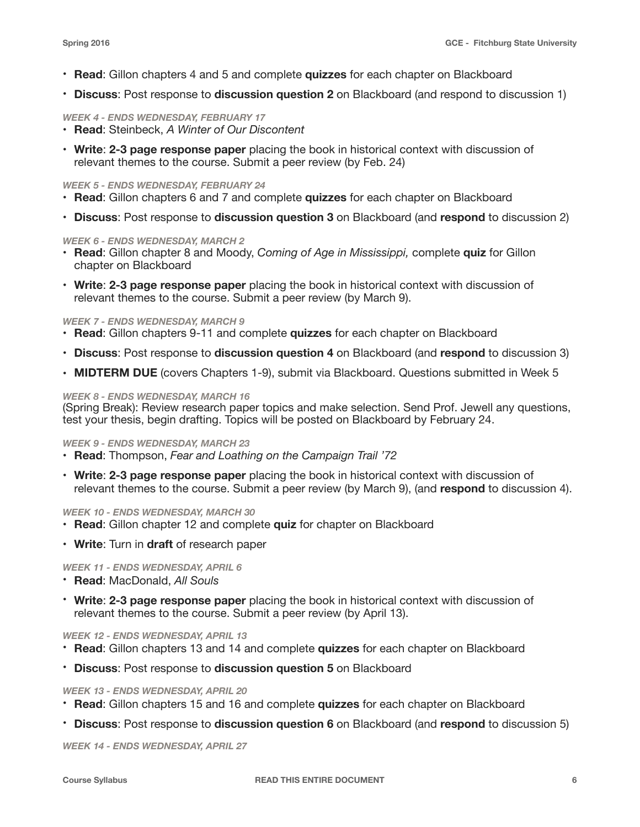- **Read**: Gillon chapters 4 and 5 and complete **quizzes** for each chapter on Blackboard
- **Discuss**: Post response to **discussion question 2** on Blackboard (and respond to discussion 1)

#### *WEEK 4 - ENDS WEDNESDAY, FEBRUARY 17*

- **Read**: Steinbeck, *A Winter of Our Discontent*
- **Write**: **2-3 page response paper** placing the book in historical context with discussion of relevant themes to the course. Submit a peer review (by Feb. 24)

#### *WEEK 5 - ENDS WEDNESDAY, FEBRUARY 24*

- **Read**: Gillon chapters 6 and 7 and complete **quizzes** for each chapter on Blackboard
- **Discuss**: Post response to **discussion question 3** on Blackboard (and **respond** to discussion 2)

#### *WEEK 6 - ENDS WEDNESDAY, MARCH 2*

- **Read**: Gillon chapter 8 and Moody, *Coming of Age in Mississippi,* complete **quiz** for Gillon chapter on Blackboard
- **Write**: **2-3 page response paper** placing the book in historical context with discussion of relevant themes to the course. Submit a peer review (by March 9).

#### *WEEK 7 - ENDS WEDNESDAY, MARCH 9*

- **Read**: Gillon chapters 9-11 and complete **quizzes** for each chapter on Blackboard
- **Discuss**: Post response to **discussion question 4** on Blackboard (and **respond** to discussion 3)
- **• MIDTERM DUE** (covers Chapters 1-9), submit via Blackboard. Questions submitted in Week 5

#### *WEEK 8 - ENDS WEDNESDAY, MARCH 16*

(Spring Break): Review research paper topics and make selection. Send Prof. Jewell any questions, test your thesis, begin drafting. Topics will be posted on Blackboard by February 24.

#### *WEEK 9 - ENDS WEDNESDAY, MARCH 23*

- **Read**: Thompson, *Fear and Loathing on the Campaign Trail '72*
- **Write**: **2-3 page response paper** placing the book in historical context with discussion of relevant themes to the course. Submit a peer review (by March 9), (and **respond** to discussion 4).

#### *WEEK 10 - ENDS WEDNESDAY, MARCH 30*

- **Read**: Gillon chapter 12 and complete **quiz** for chapter on Blackboard
- **Write**: Turn in **draft** of research paper

#### *WEEK 11 - ENDS WEDNESDAY, APRIL 6*

- **Read**: MacDonald, *All Souls*
- **Write**: **2-3 page response paper** placing the book in historical context with discussion of relevant themes to the course. Submit a peer review (by April 13).

*WEEK 12 - ENDS WEDNESDAY, APRIL 13* 

- **Read**: Gillon chapters 13 and 14 and complete **quizzes** for each chapter on Blackboard
- **Discuss**: Post response to **discussion question 5** on Blackboard

#### *WEEK 13 - ENDS WEDNESDAY, APRIL 20*

- **Read**: Gillon chapters 15 and 16 and complete **quizzes** for each chapter on Blackboard
- **Discuss**: Post response to **discussion question 6** on Blackboard (and **respond** to discussion 5)

*WEEK 14 - ENDS WEDNESDAY, APRIL 27*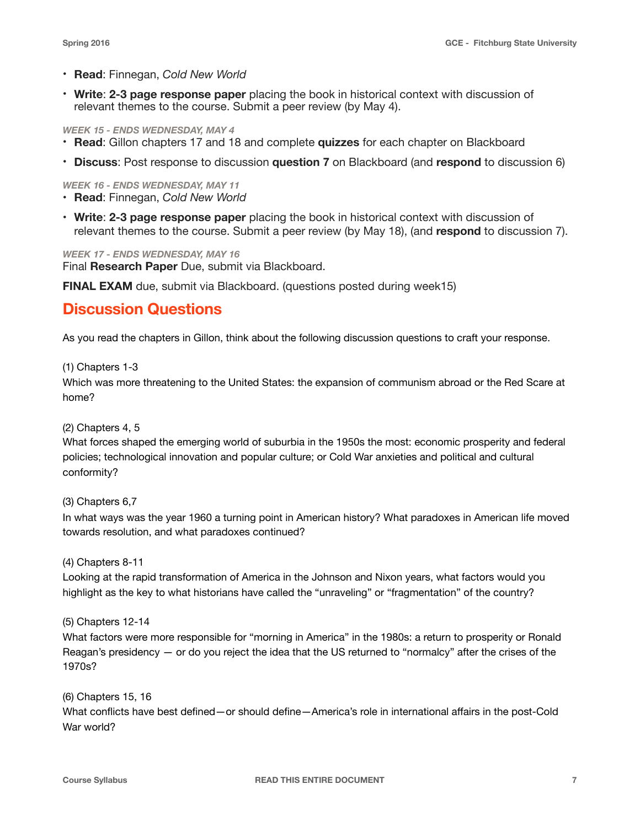- **Read**: Finnegan, *Cold New World*
- **Write**: **2-3 page response paper** placing the book in historical context with discussion of relevant themes to the course. Submit a peer review (by May 4).

*WEEK 15 - ENDS WEDNESDAY, MAY 4* 

- **Read**: Gillon chapters 17 and 18 and complete **quizzes** for each chapter on Blackboard
- **Discuss**: Post response to discussion **question 7** on Blackboard (and **respond** to discussion 6)

*WEEK 16 - ENDS WEDNESDAY, MAY 11* 

- **Read**: Finnegan, *Cold New World*
- **Write**: **2-3 page response paper** placing the book in historical context with discussion of relevant themes to the course. Submit a peer review (by May 18), (and **respond** to discussion 7).

*WEEK 17 - ENDS WEDNESDAY, MAY 16*  Final **Research Paper** Due, submit via Blackboard.

**FINAL EXAM** due, submit via Blackboard. (questions posted during week15)

### **Discussion Questions**

As you read the chapters in Gillon, think about the following discussion questions to craft your response.

(1) Chapters 1-3

Which was more threatening to the United States: the expansion of communism abroad or the Red Scare at home?

(2) Chapters 4, 5

What forces shaped the emerging world of suburbia in the 1950s the most: economic prosperity and federal policies; technological innovation and popular culture; or Cold War anxieties and political and cultural conformity?

(3) Chapters 6,7

In what ways was the year 1960 a turning point in American history? What paradoxes in American life moved towards resolution, and what paradoxes continued?

(4) Chapters 8-11

Looking at the rapid transformation of America in the Johnson and Nixon years, what factors would you highlight as the key to what historians have called the "unraveling" or "fragmentation" of the country?

(5) Chapters 12-14

What factors were more responsible for "morning in America" in the 1980s: a return to prosperity or Ronald Reagan's presidency — or do you reject the idea that the US returned to "normalcy" after the crises of the 1970s?

(6) Chapters 15, 16 What conflicts have best defined—or should define—America's role in international affairs in the post-Cold War world?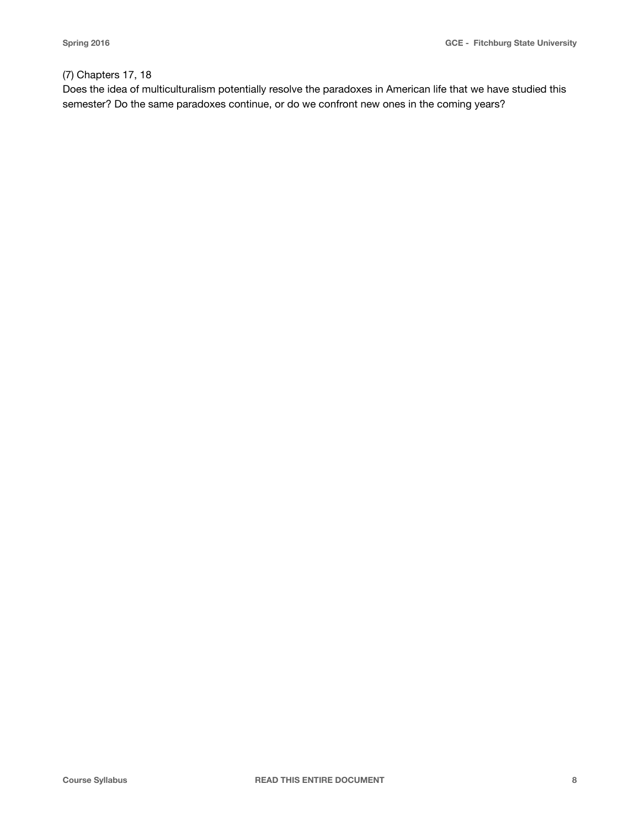#### (7) Chapters 17, 18

Does the idea of multiculturalism potentially resolve the paradoxes in American life that we have studied this semester? Do the same paradoxes continue, or do we confront new ones in the coming years?